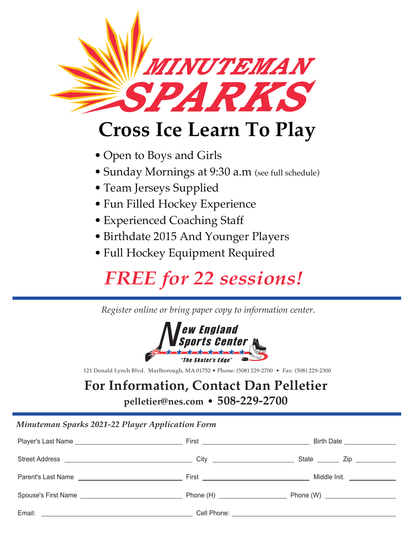

# **Cross Ice Learn To Play**

- Open to Boys and Girls
- Sunday Mornings at 9:30 a.m (see full schedule)
- Team Jerseys Supplied
- Fun Filled Hockey Experience
- Experienced Coaching Staff
- Birthdate 2015 And Younger Players
- Full Hockey Equipment Required

## *FREE for 22 sessions!*

*Register online or bring paper copy to information center.*



121 Donald Lynch Blvd. Marlborough, MA 01752 • Phone: (508) 229-2700 • Fax: (508) 229-2300

#### **For Information, Contact Dan Pelletier**

**pelletier@nes.com • 508-229-2700**

#### *Minuteman Sparks 2021-22 Player Application Form*

|  | Birth Date ________________ |
|--|-----------------------------|
|  |                             |
|  |                             |
|  |                             |
|  |                             |